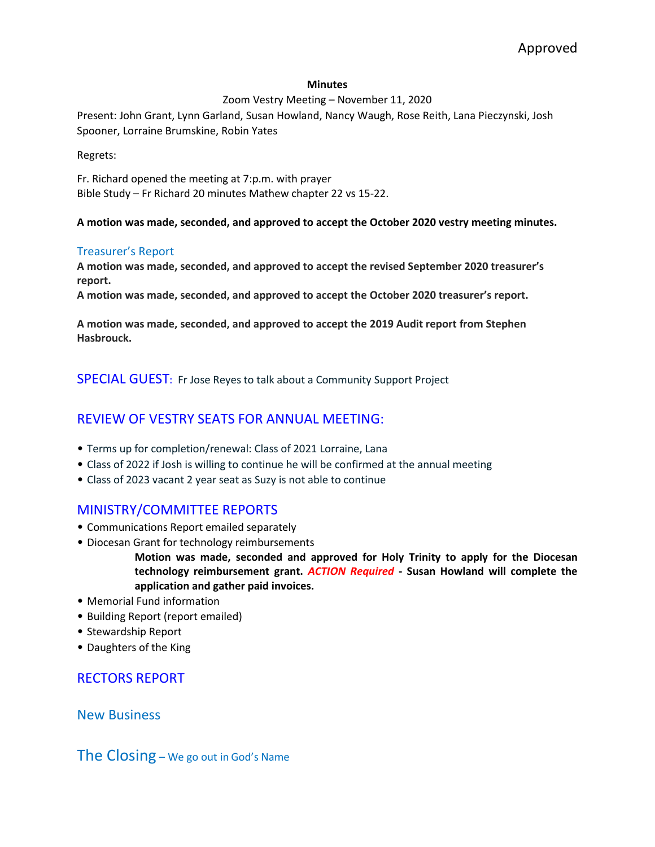### **Minutes**

### Zoom Vestry Meeting – November 11, 2020

Present: John Grant, Lynn Garland, Susan Howland, Nancy Waugh, Rose Reith, Lana Pieczynski, Josh Spooner, Lorraine Brumskine, Robin Yates

Regrets:

Fr. Richard opened the meeting at 7:p.m. with prayer Bible Study – Fr Richard 20 minutes Mathew chapter 22 vs 15-22.

**A motion was made, seconded, and approved to accept the October 2020 vestry meeting minutes.**

### Treasurer's Report

**A motion was made, seconded, and approved to accept the revised September 2020 treasurer's report.**

**A motion was made, seconded, and approved to accept the October 2020 treasurer's report.**

**A motion was made, seconded, and approved to accept the 2019 Audit report from Stephen Hasbrouck.**

SPECIAL GUEST: Fr Jose Reyes to talk about a Community Support Project

# REVIEW OF VESTRY SEATS FOR ANNUAL MEETING:

- Terms up for completion/renewal: Class of 2021 Lorraine, Lana
- Class of 2022 if Josh is willing to continue he will be confirmed at the annual meeting
- Class of 2023 vacant 2 year seat as Suzy is not able to continue

## MINISTRY/COMMITTEE REPORTS

- Communications Report emailed separately
- Diocesan Grant for technology reimbursements

**Motion was made, seconded and approved for Holy Trinity to apply for the Diocesan technology reimbursement grant.** *ACTION Required* **- Susan Howland will complete the application and gather paid invoices.** 

- Memorial Fund information
- Building Report (report emailed)
- Stewardship Report
- Daughters of the King

## RECTORS REPORT

New Business

The Closing – We go out in God's Name